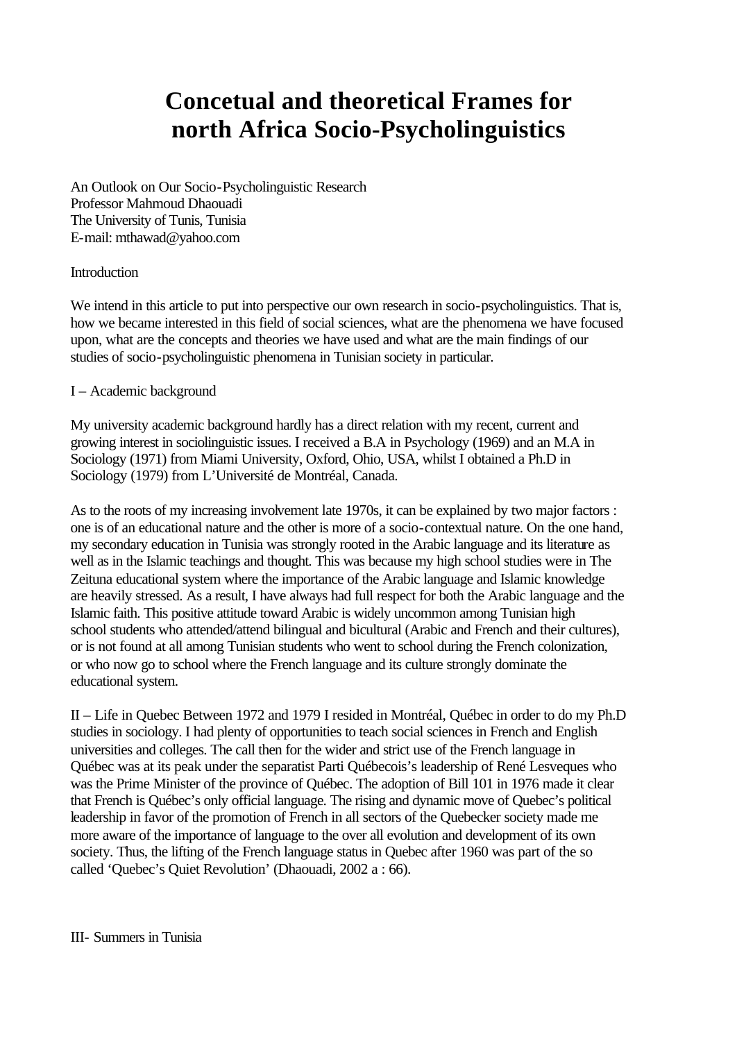# **Concetual and theoretical Frames for north Africa Socio-Psycholinguistics**

An Outlook on Our Socio-Psycholinguistic Research Professor Mahmoud Dhaouadi The University of Tunis, Tunisia E-mail: mthawad@yahoo.com

## Introduction

We intend in this article to put into perspective our own research in socio-psycholinguistics. That is, how we became interested in this field of social sciences, what are the phenomena we have focused upon, what are the concepts and theories we have used and what are the main findings of our studies of socio-psycholinguistic phenomena in Tunisian society in particular.

## I – Academic background

My university academic background hardly has a direct relation with my recent, current and growing interest in sociolinguistic issues. I received a B.A in Psychology (1969) and an M.A in Sociology (1971) from Miami University, Oxford, Ohio, USA, whilst I obtained a Ph.D in Sociology (1979) from L'Université de Montréal, Canada.

As to the roots of my increasing involvement late 1970s, it can be explained by two major factors : one is of an educational nature and the other is more of a socio-contextual nature. On the one hand, my secondary education in Tunisia was strongly rooted in the Arabic language and its literature as well as in the Islamic teachings and thought. This was because my high school studies were in The Zeituna educational system where the importance of the Arabic language and Islamic knowledge are heavily stressed. As a result, I have always had full respect for both the Arabic language and the Islamic faith. This positive attitude toward Arabic is widely uncommon among Tunisian high school students who attended/attend bilingual and bicultural (Arabic and French and their cultures), or is not found at all among Tunisian students who went to school during the French colonization, or who now go to school where the French language and its culture strongly dominate the educational system.

II – Life in Quebec Between 1972 and 1979 I resided in Montréal, Québec in order to do my Ph.D studies in sociology. I had plenty of opportunities to teach social sciences in French and English universities and colleges. The call then for the wider and strict use of the French language in Québec was at its peak under the separatist Parti Québecois's leadership of René Lesveques who was the Prime Minister of the province of Québec. The adoption of Bill 101 in 1976 made it clear that French is Québec's only official language. The rising and dynamic move of Quebec's political leadership in favor of the promotion of French in all sectors of the Quebecker society made me more aware of the importance of language to the over all evolution and development of its own society. Thus, the lifting of the French language status in Quebec after 1960 was part of the so called 'Quebec's Quiet Revolution' (Dhaouadi, 2002 a : 66).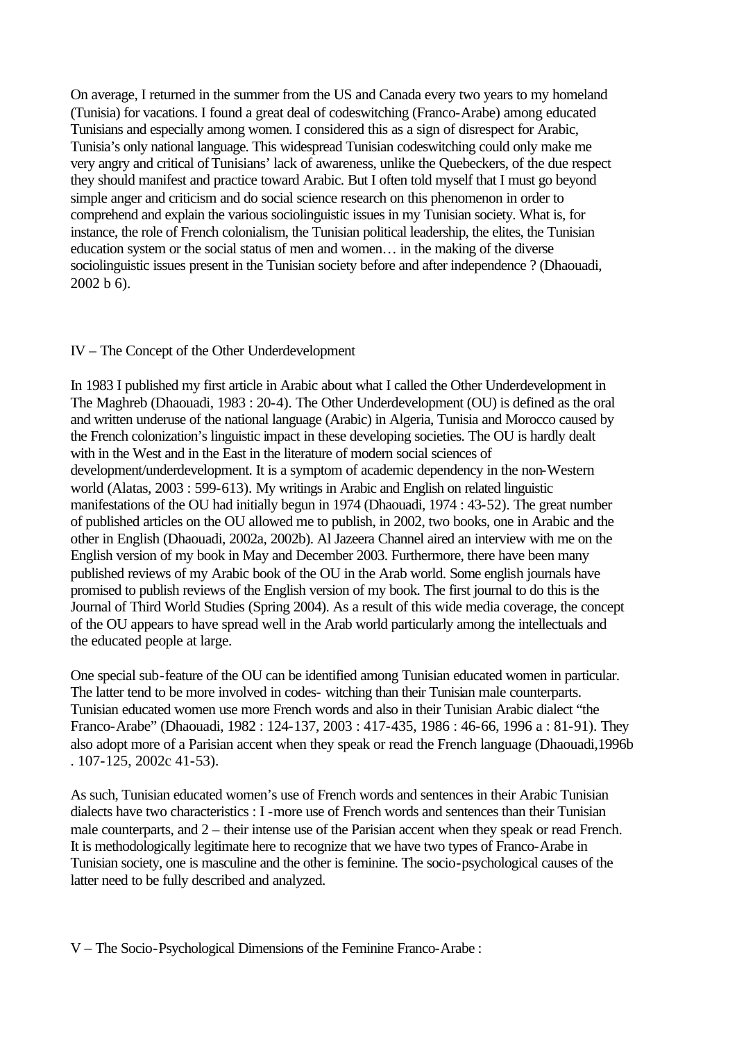On average, I returned in the summer from the US and Canada every two years to my homeland (Tunisia) for vacations. I found a great deal of codeswitching (Franco-Arabe) among educated Tunisians and especially among women. I considered this as a sign of disrespect for Arabic, Tunisia's only national language. This widespread Tunisian codeswitching could only make me very angry and critical of Tunisians' lack of awareness, unlike the Quebeckers, of the due respect they should manifest and practice toward Arabic. But I often told myself that I must go beyond simple anger and criticism and do social science research on this phenomenon in order to comprehend and explain the various sociolinguistic issues in my Tunisian society. What is, for instance, the role of French colonialism, the Tunisian political leadership, the elites, the Tunisian education system or the social status of men and women… in the making of the diverse sociolinguistic issues present in the Tunisian society before and after independence ? (Dhaouadi, 2002 b 6).

## IV – The Concept of the Other Underdevelopment

In 1983 I published my first article in Arabic about what I called the Other Underdevelopment in The Maghreb (Dhaouadi, 1983 : 20-4). The Other Underdevelopment (OU) is defined as the oral and written underuse of the national language (Arabic) in Algeria, Tunisia and Morocco caused by the French colonization's linguistic impact in these developing societies. The OU is hardly dealt with in the West and in the East in the literature of modern social sciences of development/underdevelopment. It is a symptom of academic dependency in the non-Western world (Alatas, 2003 : 599-613). My writings in Arabic and English on related linguistic manifestations of the OU had initially begun in 1974 (Dhaouadi, 1974 : 43-52). The great number of published articles on the OU allowed me to publish, in 2002, two books, one in Arabic and the other in English (Dhaouadi, 2002a, 2002b). Al Jazeera Channel aired an interview with me on the English version of my book in May and December 2003. Furthermore, there have been many published reviews of my Arabic book of the OU in the Arab world. Some english journals have promised to publish reviews of the English version of my book. The first journal to do this is the Journal of Third World Studies (Spring 2004). As a result of this wide media coverage, the concept of the OU appears to have spread well in the Arab world particularly among the intellectuals and the educated people at large.

One special sub-feature of the OU can be identified among Tunisian educated women in particular. The latter tend to be more involved in codes- witching than their Tunisian male counterparts. Tunisian educated women use more French words and also in their Tunisian Arabic dialect "the Franco-Arabe" (Dhaouadi, 1982 : 124-137, 2003 : 417-435, 1986 : 46-66, 1996 a : 81-91). They also adopt more of a Parisian accent when they speak or read the French language (Dhaouadi,1996b . 107-125, 2002c 41-53).

As such, Tunisian educated women's use of French words and sentences in their Arabic Tunisian dialects have two characteristics : I -more use of French words and sentences than their Tunisian male counterparts, and 2 – their intense use of the Parisian accent when they speak or read French. It is methodologically legitimate here to recognize that we have two types of Franco-Arabe in Tunisian society, one is masculine and the other is feminine. The socio-psychological causes of the latter need to be fully described and analyzed.

V – The Socio-Psychological Dimensions of the Feminine Franco-Arabe :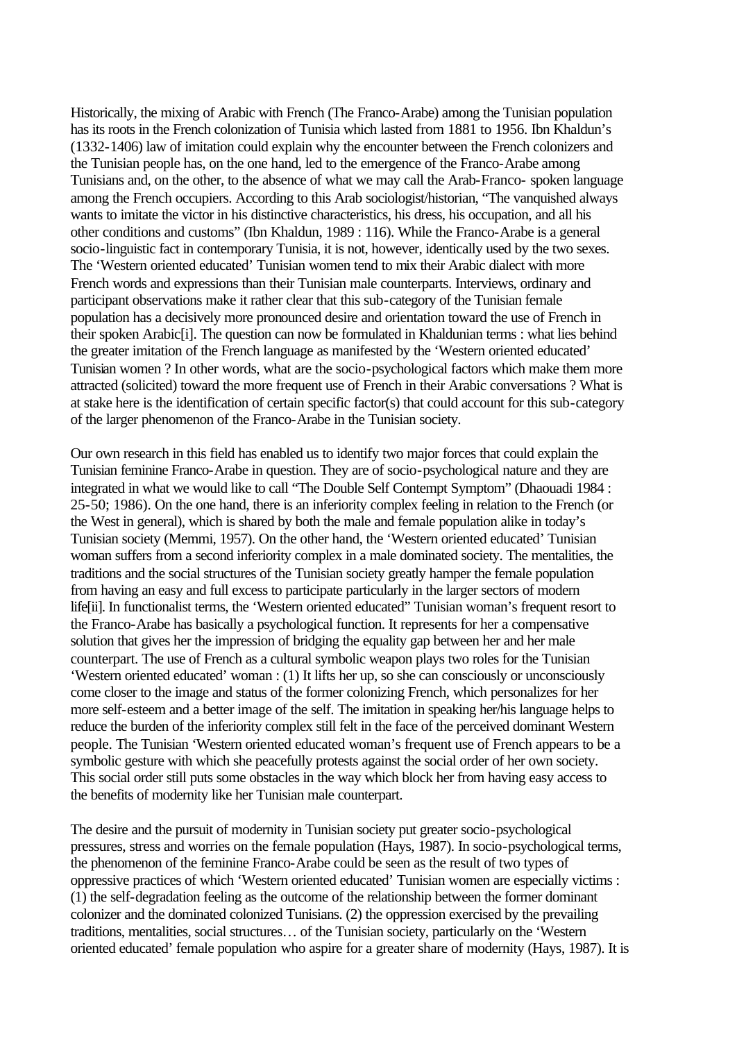Historically, the mixing of Arabic with French (The Franco-Arabe) among the Tunisian population has its roots in the French colonization of Tunisia which lasted from 1881 to 1956. Ibn Khaldun's (1332-1406) law of imitation could explain why the encounter between the French colonizers and the Tunisian people has, on the one hand, led to the emergence of the Franco-Arabe among Tunisians and, on the other, to the absence of what we may call the Arab-Franco- spoken language among the French occupiers. According to this Arab sociologist/historian, "The vanquished always wants to imitate the victor in his distinctive characteristics, his dress, his occupation, and all his other conditions and customs" (Ibn Khaldun, 1989 : 116). While the Franco-Arabe is a general socio-linguistic fact in contemporary Tunisia, it is not, however, identically used by the two sexes. The 'Western oriented educated' Tunisian women tend to mix their Arabic dialect with more French words and expressions than their Tunisian male counterparts. Interviews, ordinary and participant observations make it rather clear that this sub-category of the Tunisian female population has a decisively more pronounced desire and orientation toward the use of French in their spoken Arabic[i]. The question can now be formulated in Khaldunian terms : what lies behind the greater imitation of the French language as manifested by the 'Western oriented educated' Tunisian women ? In other words, what are the socio-psychological factors which make them more attracted (solicited) toward the more frequent use of French in their Arabic conversations ? What is at stake here is the identification of certain specific factor(s) that could account for this sub-category of the larger phenomenon of the Franco-Arabe in the Tunisian society.

Our own research in this field has enabled us to identify two major forces that could explain the Tunisian feminine Franco-Arabe in question. They are of socio-psychological nature and they are integrated in what we would like to call "The Double Self Contempt Symptom" (Dhaouadi 1984 : 25-50; 1986). On the one hand, there is an inferiority complex feeling in relation to the French (or the West in general), which is shared by both the male and female population alike in today's Tunisian society (Memmi, 1957). On the other hand, the 'Western oriented educated' Tunisian woman suffers from a second inferiority complex in a male dominated society. The mentalities, the traditions and the social structures of the Tunisian society greatly hamper the female population from having an easy and full excess to participate particularly in the larger sectors of modern life<sup>[ii]</sup>. In functionalist terms, the 'Western oriented educated' Tunisian woman's frequent resort to the Franco-Arabe has basically a psychological function. It represents for her a compensative solution that gives her the impression of bridging the equality gap between her and her male counterpart. The use of French as a cultural symbolic weapon plays two roles for the Tunisian 'Western oriented educated' woman : (1) It lifts her up, so she can consciously or unconsciously come closer to the image and status of the former colonizing French, which personalizes for her more self-esteem and a better image of the self. The imitation in speaking her/his language helps to reduce the burden of the inferiority complex still felt in the face of the perceived dominant Western people. The Tunisian 'Western oriented educated woman's frequent use of French appears to be a symbolic gesture with which she peacefully protests against the social order of her own society. This social order still puts some obstacles in the way which block her from having easy access to the benefits of modernity like her Tunisian male counterpart.

The desire and the pursuit of modernity in Tunisian society put greater socio-psychological pressures, stress and worries on the female population (Hays, 1987). In socio-psychological terms, the phenomenon of the feminine Franco-Arabe could be seen as the result of two types of oppressive practices of which 'Western oriented educated' Tunisian women are especially victims : (1) the self-degradation feeling as the outcome of the relationship between the former dominant colonizer and the dominated colonized Tunisians. (2) the oppression exercised by the prevailing traditions, mentalities, social structures… of the Tunisian society, particularly on the 'Western oriented educated' female population who aspire for a greater share of modernity (Hays, 1987). It is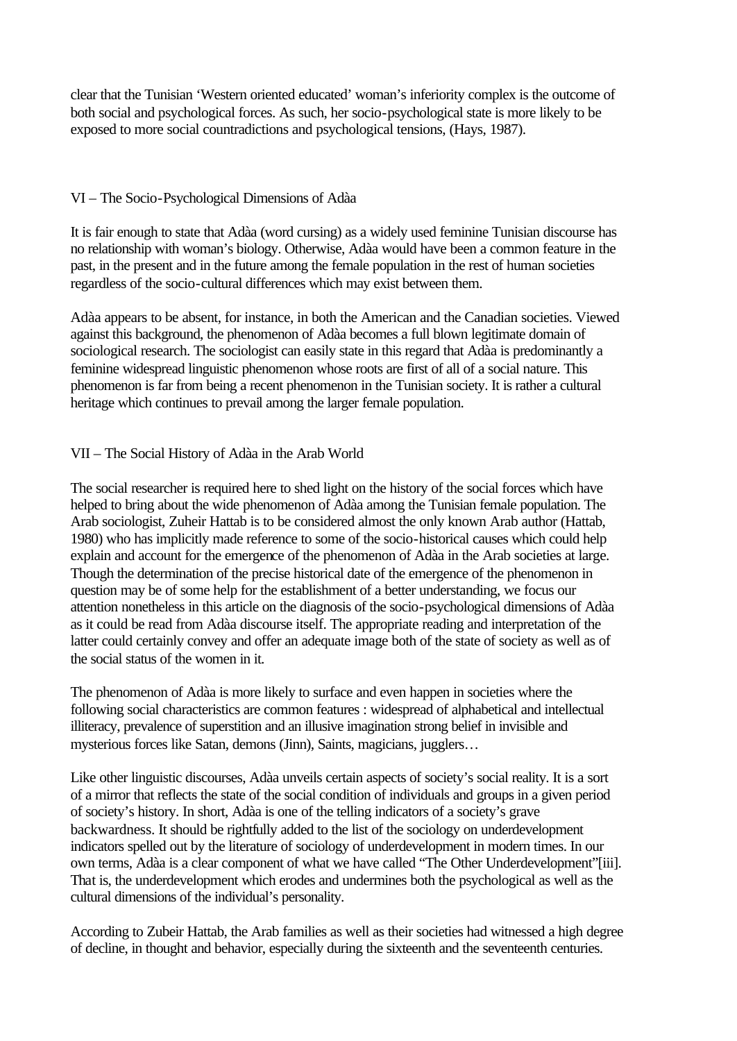clear that the Tunisian 'Western oriented educated' woman's inferiority complex is the outcome of both social and psychological forces. As such, her socio-psychological state is more likely to be exposed to more social countradictions and psychological tensions, (Hays, 1987).

## VI – The Socio-Psychological Dimensions of Adàa

It is fair enough to state that Adàa (word cursing) as a widely used feminine Tunisian discourse has no relationship with woman's biology. Otherwise, Adàa would have been a common feature in the past, in the present and in the future among the female population in the rest of human societies regardless of the socio-cultural differences which may exist between them.

Adàa appears to be absent, for instance, in both the American and the Canadian societies. Viewed against this background, the phenomenon of Adàa becomes a full blown legitimate domain of sociological research. The sociologist can easily state in this regard that Adàa is predominantly a feminine widespread linguistic phenomenon whose roots are first of all of a social nature. This phenomenon is far from being a recent phenomenon in the Tunisian society. It is rather a cultural heritage which continues to prevail among the larger female population.

## VII – The Social History of Adàa in the Arab World

The social researcher is required here to shed light on the history of the social forces which have helped to bring about the wide phenomenon of Adàa among the Tunisian female population. The Arab sociologist, Zuheir Hattab is to be considered almost the only known Arab author (Hattab, 1980) who has implicitly made reference to some of the socio-historical causes which could help explain and account for the emergence of the phenomenon of Adàa in the Arab societies at large. Though the determination of the precise historical date of the emergence of the phenomenon in question may be of some help for the establishment of a better understanding, we focus our attention nonetheless in this article on the diagnosis of the socio-psychological dimensions of Adàa as it could be read from Adàa discourse itself. The appropriate reading and interpretation of the latter could certainly convey and offer an adequate image both of the state of society as well as of the social status of the women in it.

The phenomenon of Adàa is more likely to surface and even happen in societies where the following social characteristics are common features : widespread of alphabetical and intellectual illiteracy, prevalence of superstition and an illusive imagination strong belief in invisible and mysterious forces like Satan, demons (Jinn), Saints, magicians, jugglers…

Like other linguistic discourses, Adàa unveils certain aspects of society's social reality. It is a sort of a mirror that reflects the state of the social condition of individuals and groups in a given period of society's history. In short, Adàa is one of the telling indicators of a society's grave backwardness. It should be rightfully added to the list of the sociology on underdevelopment indicators spelled out by the literature of sociology of underdevelopment in modern times. In our own terms, Adàa is a clear component of what we have called "The Other Underdevelopment"[iii]. That is, the underdevelopment which erodes and undermines both the psychological as well as the cultural dimensions of the individual's personality.

According to Zubeir Hattab, the Arab families as well as their societies had witnessed a high degree of decline, in thought and behavior, especially during the sixteenth and the seventeenth centuries.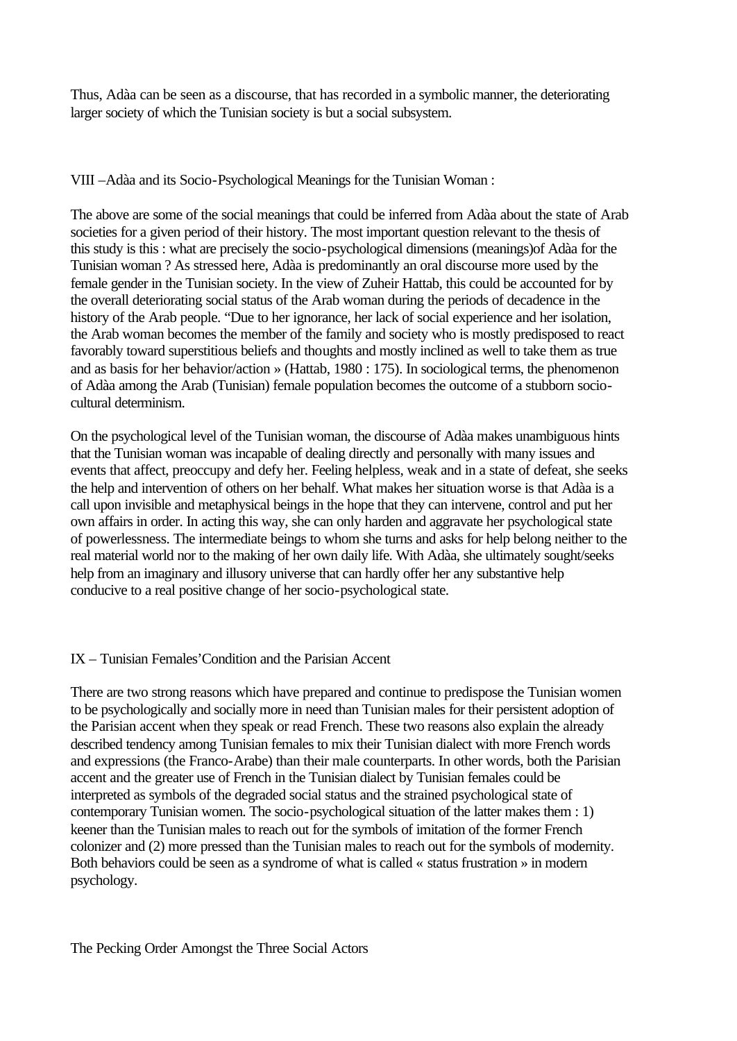Thus, Adàa can be seen as a discourse, that has recorded in a symbolic manner, the deteriorating larger society of which the Tunisian society is but a social subsystem.

VIII –Adàa and its Socio-Psychological Meanings for the Tunisian Woman :

The above are some of the social meanings that could be inferred from Adàa about the state of Arab societies for a given period of their history. The most important question relevant to the thesis of this study is this : what are precisely the socio-psychological dimensions (meanings)of Adàa for the Tunisian woman ? As stressed here, Adàa is predominantly an oral discourse more used by the female gender in the Tunisian society. In the view of Zuheir Hattab, this could be accounted for by the overall deteriorating social status of the Arab woman during the periods of decadence in the history of the Arab people. "Due to her ignorance, her lack of social experience and her isolation, the Arab woman becomes the member of the family and society who is mostly predisposed to react favorably toward superstitious beliefs and thoughts and mostly inclined as well to take them as true and as basis for her behavior/action » (Hattab, 1980 : 175). In sociological terms, the phenomenon of Adàa among the Arab (Tunisian) female population becomes the outcome of a stubborn sociocultural determinism.

On the psychological level of the Tunisian woman, the discourse of Adàa makes unambiguous hints that the Tunisian woman was incapable of dealing directly and personally with many issues and events that affect, preoccupy and defy her. Feeling helpless, weak and in a state of defeat, she seeks the help and intervention of others on her behalf. What makes her situation worse is that Adàa is a call upon invisible and metaphysical beings in the hope that they can intervene, control and put her own affairs in order. In acting this way, she can only harden and aggravate her psychological state of powerlessness. The intermediate beings to whom she turns and asks for help belong neither to the real material world nor to the making of her own daily life. With Adàa, she ultimately sought/seeks help from an imaginary and illusory universe that can hardly offer her any substantive help conducive to a real positive change of her socio-psychological state.

# IX – Tunisian Females'Condition and the Parisian Accent

There are two strong reasons which have prepared and continue to predispose the Tunisian women to be psychologically and socially more in need than Tunisian males for their persistent adoption of the Parisian accent when they speak or read French. These two reasons also explain the already described tendency among Tunisian females to mix their Tunisian dialect with more French words and expressions (the Franco-Arabe) than their male counterparts. In other words, both the Parisian accent and the greater use of French in the Tunisian dialect by Tunisian females could be interpreted as symbols of the degraded social status and the strained psychological state of contemporary Tunisian women. The socio-psychological situation of the latter makes them : 1) keener than the Tunisian males to reach out for the symbols of imitation of the former French colonizer and (2) more pressed than the Tunisian males to reach out for the symbols of modernity. Both behaviors could be seen as a syndrome of what is called « status frustration » in modern psychology.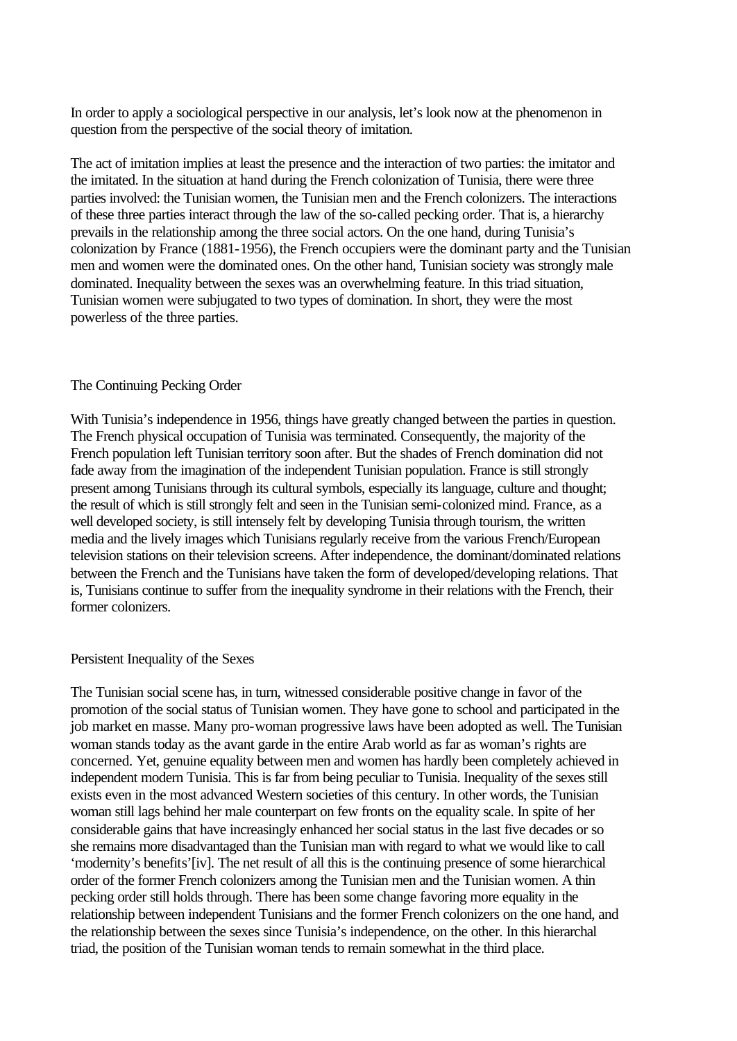In order to apply a sociological perspective in our analysis, let's look now at the phenomenon in question from the perspective of the social theory of imitation.

The act of imitation implies at least the presence and the interaction of two parties: the imitator and the imitated. In the situation at hand during the French colonization of Tunisia, there were three parties involved: the Tunisian women, the Tunisian men and the French colonizers. The interactions of these three parties interact through the law of the so-called pecking order. That is, a hierarchy prevails in the relationship among the three social actors. On the one hand, during Tunisia's colonization by France (1881-1956), the French occupiers were the dominant party and the Tunisian men and women were the dominated ones. On the other hand, Tunisian society was strongly male dominated. Inequality between the sexes was an overwhelming feature. In this triad situation, Tunisian women were subjugated to two types of domination. In short, they were the most powerless of the three parties.

#### The Continuing Pecking Order

With Tunisia's independence in 1956, things have greatly changed between the parties in question. The French physical occupation of Tunisia was terminated. Consequently, the majority of the French population left Tunisian territory soon after. But the shades of French domination did not fade away from the imagination of the independent Tunisian population. France is still strongly present among Tunisians through its cultural symbols, especially its language, culture and thought; the result of which is still strongly felt and seen in the Tunisian semi-colonized mind. France, as a well developed society, is still intensely felt by developing Tunisia through tourism, the written media and the lively images which Tunisians regularly receive from the various French/European television stations on their television screens. After independence, the dominant/dominated relations between the French and the Tunisians have taken the form of developed/developing relations. That is, Tunisians continue to suffer from the inequality syndrome in their relations with the French, their former colonizers.

#### Persistent Inequality of the Sexes

The Tunisian social scene has, in turn, witnessed considerable positive change in favor of the promotion of the social status of Tunisian women. They have gone to school and participated in the job market en masse. Many pro-woman progressive laws have been adopted as well. The Tunisian woman stands today as the avant garde in the entire Arab world as far as woman's rights are concerned. Yet, genuine equality between men and women has hardly been completely achieved in independent modern Tunisia. This is far from being peculiar to Tunisia. Inequality of the sexes still exists even in the most advanced Western societies of this century. In other words, the Tunisian woman still lags behind her male counterpart on few fronts on the equality scale. In spite of her considerable gains that have increasingly enhanced her social status in the last five decades or so she remains more disadvantaged than the Tunisian man with regard to what we would like to call 'modernity's benefits'[iv]. The net result of all this is the continuing presence of some hierarchical order of the former French colonizers among the Tunisian men and the Tunisian women. A thin pecking order still holds through. There has been some change favoring more equality in the relationship between independent Tunisians and the former French colonizers on the one hand, and the relationship between the sexes since Tunisia's independence, on the other. In this hierarchal triad, the position of the Tunisian woman tends to remain somewhat in the third place.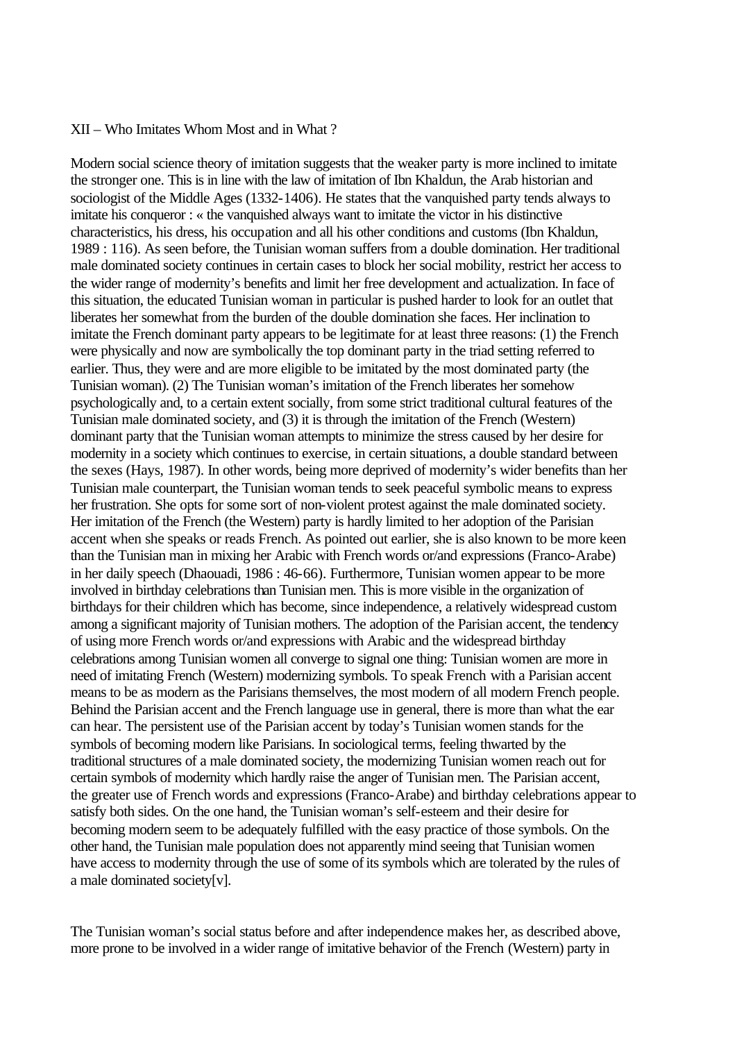#### XII – Who Imitates Whom Most and in What ?

Modern social science theory of imitation suggests that the weaker party is more inclined to imitate the stronger one. This is in line with the law of imitation of Ibn Khaldun, the Arab historian and sociologist of the Middle Ages (1332-1406). He states that the vanquished party tends always to imitate his conqueror : « the vanquished always want to imitate the victor in his distinctive characteristics, his dress, his occupation and all his other conditions and customs (Ibn Khaldun, 1989 : 116). As seen before, the Tunisian woman suffers from a double domination. Her traditional male dominated society continues in certain cases to block her social mobility, restrict her access to the wider range of modernity's benefits and limit her free development and actualization. In face of this situation, the educated Tunisian woman in particular is pushed harder to look for an outlet that liberates her somewhat from the burden of the double domination she faces. Her inclination to imitate the French dominant party appears to be legitimate for at least three reasons: (1) the French were physically and now are symbolically the top dominant party in the triad setting referred to earlier. Thus, they were and are more eligible to be imitated by the most dominated party (the Tunisian woman). (2) The Tunisian woman's imitation of the French liberates her somehow psychologically and, to a certain extent socially, from some strict traditional cultural features of the Tunisian male dominated society, and (3) it is through the imitation of the French (Western) dominant party that the Tunisian woman attempts to minimize the stress caused by her desire for modernity in a society which continues to exercise, in certain situations, a double standard between the sexes (Hays, 1987). In other words, being more deprived of modernity's wider benefits than her Tunisian male counterpart, the Tunisian woman tends to seek peaceful symbolic means to express her frustration. She opts for some sort of non-violent protest against the male dominated society. Her imitation of the French (the Western) party is hardly limited to her adoption of the Parisian accent when she speaks or reads French. As pointed out earlier, she is also known to be more keen than the Tunisian man in mixing her Arabic with French words or/and expressions (Franco-Arabe) in her daily speech (Dhaouadi, 1986 : 46-66). Furthermore, Tunisian women appear to be more involved in birthday celebrations than Tunisian men. This is more visible in the organization of birthdays for their children which has become, since independence, a relatively widespread custom among a significant majority of Tunisian mothers. The adoption of the Parisian accent, the tendency of using more French words or/and expressions with Arabic and the widespread birthday celebrations among Tunisian women all converge to signal one thing: Tunisian women are more in need of imitating French (Western) modernizing symbols. To speak French with a Parisian accent means to be as modern as the Parisians themselves, the most modern of all modern French people. Behind the Parisian accent and the French language use in general, there is more than what the ear can hear. The persistent use of the Parisian accent by today's Tunisian women stands for the symbols of becoming modern like Parisians. In sociological terms, feeling thwarted by the traditional structures of a male dominated society, the modernizing Tunisian women reach out for certain symbols of modernity which hardly raise the anger of Tunisian men. The Parisian accent, the greater use of French words and expressions (Franco-Arabe) and birthday celebrations appear to satisfy both sides. On the one hand, the Tunisian woman's self-esteem and their desire for becoming modern seem to be adequately fulfilled with the easy practice of those symbols. On the other hand, the Tunisian male population does not apparently mind seeing that Tunisian women have access to modernity through the use of some of its symbols which are tolerated by the rules of a male dominated society[v].

The Tunisian woman's social status before and after independence makes her, as described above, more prone to be involved in a wider range of imitative behavior of the French (Western) party in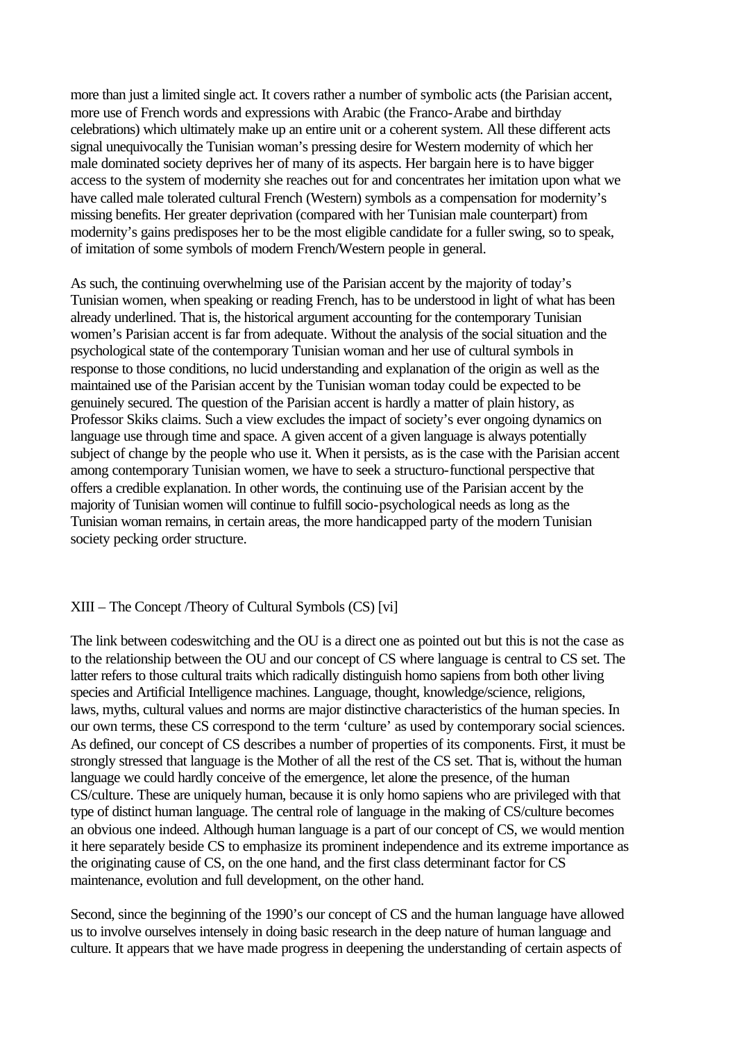more than just a limited single act. It covers rather a number of symbolic acts (the Parisian accent, more use of French words and expressions with Arabic (the Franco-Arabe and birthday celebrations) which ultimately make up an entire unit or a coherent system. All these different acts signal unequivocally the Tunisian woman's pressing desire for Western modernity of which her male dominated society deprives her of many of its aspects. Her bargain here is to have bigger access to the system of modernity she reaches out for and concentrates her imitation upon what we have called male tolerated cultural French (Western) symbols as a compensation for modernity's missing benefits. Her greater deprivation (compared with her Tunisian male counterpart) from modernity's gains predisposes her to be the most eligible candidate for a fuller swing, so to speak, of imitation of some symbols of modern French/Western people in general.

As such, the continuing overwhelming use of the Parisian accent by the majority of today's Tunisian women, when speaking or reading French, has to be understood in light of what has been already underlined. That is, the historical argument accounting for the contemporary Tunisian women's Parisian accent is far from adequate. Without the analysis of the social situation and the psychological state of the contemporary Tunisian woman and her use of cultural symbols in response to those conditions, no lucid understanding and explanation of the origin as well as the maintained use of the Parisian accent by the Tunisian woman today could be expected to be genuinely secured. The question of the Parisian accent is hardly a matter of plain history, as Professor Skiks claims. Such a view excludes the impact of society's ever ongoing dynamics on language use through time and space. A given accent of a given language is always potentially subject of change by the people who use it. When it persists, as is the case with the Parisian accent among contemporary Tunisian women, we have to seek a structuro-functional perspective that offers a credible explanation. In other words, the continuing use of the Parisian accent by the majority of Tunisian women will continue to fulfill socio-psychological needs as long as the Tunisian woman remains, in certain areas, the more handicapped party of the modern Tunisian society pecking order structure.

### XIII – The Concept /Theory of Cultural Symbols (CS) [vi]

The link between codeswitching and the OU is a direct one as pointed out but this is not the case as to the relationship between the OU and our concept of CS where language is central to CS set. The latter refers to those cultural traits which radically distinguish homo sapiens from both other living species and Artificial Intelligence machines. Language, thought, knowledge/science, religions, laws, myths, cultural values and norms are major distinctive characteristics of the human species. In our own terms, these CS correspond to the term 'culture' as used by contemporary social sciences. As defined, our concept of CS describes a number of properties of its components. First, it must be strongly stressed that language is the Mother of all the rest of the CS set. That is, without the human language we could hardly conceive of the emergence, let alone the presence, of the human CS/culture. These are uniquely human, because it is only homo sapiens who are privileged with that type of distinct human language. The central role of language in the making of CS/culture becomes an obvious one indeed. Although human language is a part of our concept of CS, we would mention it here separately beside CS to emphasize its prominent independence and its extreme importance as the originating cause of CS, on the one hand, and the first class determinant factor for CS maintenance, evolution and full development, on the other hand.

Second, since the beginning of the 1990's our concept of CS and the human language have allowed us to involve ourselves intensely in doing basic research in the deep nature of human language and culture. It appears that we have made progress in deepening the understanding of certain aspects of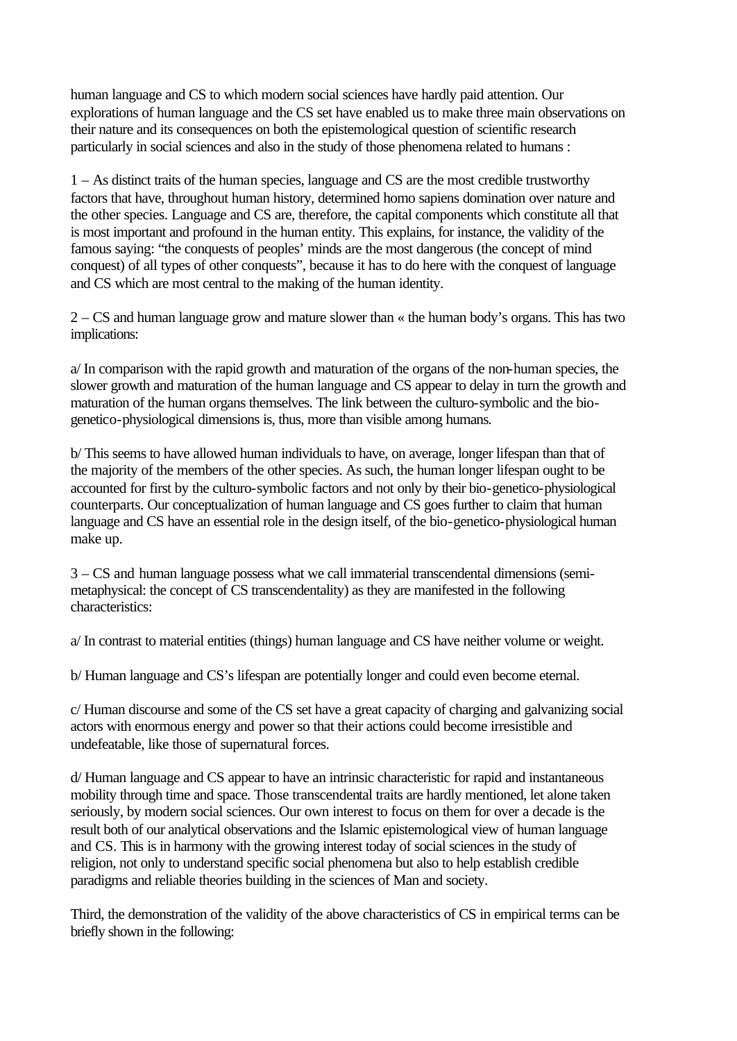human language and CS to which modern social sciences have hardly paid attention. Our explorations of human language and the CS set have enabled us to make three main observations on their nature and its consequences on both the epistemological question of scientific research particularly in social sciences and also in the study of those phenomena related to humans :

1 – As distinct traits of the human species, language and CS are the most credible trustworthy factors that have, throughout human history, determined homo sapiens domination over nature and the other species. Language and CS are, therefore, the capital components which constitute all that is most important and profound in the human entity. This explains, for instance, the validity of the famous saying: "the conquests of peoples' minds are the most dangerous (the concept of mind conquest) of all types of other conquests", because it has to do here with the conquest of language and CS which are most central to the making of the human identity.

2 – CS and human language grow and mature slower than « the human body's organs. This has two implications:

a/ In comparison with the rapid growth and maturation of the organs of the non-human species, the slower growth and maturation of the human language and CS appear to delay in turn the growth and maturation of the human organs themselves. The link between the culturo-symbolic and the biogenetico-physiological dimensions is, thus, more than visible among humans.

b/ This seems to have allowed human individuals to have, on average, longer lifespan than that of the majority of the members of the other species. As such, the human longer lifespan ought to be accounted for first by the culturo-symbolic factors and not only by their bio-genetico-physiological counterparts. Our conceptualization of human language and CS goes further to claim that human language and CS have an essential role in the design itself, of the bio-genetico-physiological human make up.

3 – CS and human language possess what we call immaterial transcendental dimensions (semimetaphysical: the concept of CS transcendentality) as they are manifested in the following characteristics:

a/ In contrast to material entities (things) human language and CS have neither volume or weight.

b/ Human language and CS's lifespan are potentially longer and could even become eternal.

c/ Human discourse and some of the CS set have a great capacity of charging and galvanizing social actors with enormous energy and power so that their actions could become irresistible and undefeatable, like those of supernatural forces.

d/ Human language and CS appear to have an intrinsic characteristic for rapid and instantaneous mobility through time and space. Those transcendental traits are hardly mentioned, let alone taken seriously, by modern social sciences. Our own interest to focus on them for over a decade is the result both of our analytical observations and the Islamic epistemological view of human language and CS. This is in harmony with the growing interest today of social sciences in the study of religion, not only to understand specific social phenomena but also to help establish credible paradigms and reliable theories building in the sciences of Man and society.

Third, the demonstration of the validity of the above characteristics of CS in empirical terms can be briefly shown in the following: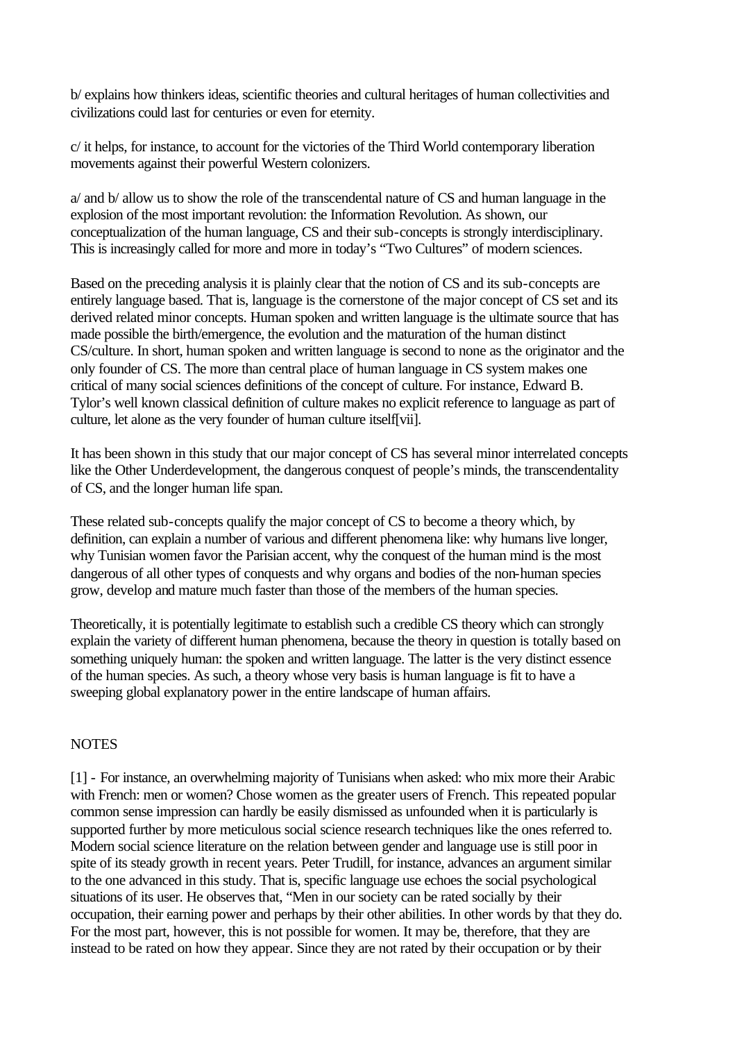b/ explains how thinkers ideas, scientific theories and cultural heritages of human collectivities and civilizations could last for centuries or even for eternity.

c/ it helps, for instance, to account for the victories of the Third World contemporary liberation movements against their powerful Western colonizers.

a/ and b/ allow us to show the role of the transcendental nature of CS and human language in the explosion of the most important revolution: the Information Revolution. As shown, our conceptualization of the human language, CS and their sub-concepts is strongly interdisciplinary. This is increasingly called for more and more in today's "Two Cultures" of modern sciences.

Based on the preceding analysis it is plainly clear that the notion of CS and its sub-concepts are entirely language based. That is, language is the cornerstone of the major concept of CS set and its derived related minor concepts. Human spoken and written language is the ultimate source that has made possible the birth/emergence, the evolution and the maturation of the human distinct CS/culture. In short, human spoken and written language is second to none as the originator and the only founder of CS. The more than central place of human language in CS system makes one critical of many social sciences definitions of the concept of culture. For instance, Edward B. Tylor's well known classical definition of culture makes no explicit reference to language as part of culture, let alone as the very founder of human culture itself[vii].

It has been shown in this study that our major concept of CS has several minor interrelated concepts like the Other Underdevelopment, the dangerous conquest of people's minds, the transcendentality of CS, and the longer human life span.

These related sub-concepts qualify the major concept of CS to become a theory which, by definition, can explain a number of various and different phenomena like: why humans live longer, why Tunisian women favor the Parisian accent, why the conquest of the human mind is the most dangerous of all other types of conquests and why organs and bodies of the non-human species grow, develop and mature much faster than those of the members of the human species.

Theoretically, it is potentially legitimate to establish such a credible CS theory which can strongly explain the variety of different human phenomena, because the theory in question is totally based on something uniquely human: the spoken and written language. The latter is the very distinct essence of the human species. As such, a theory whose very basis is human language is fit to have a sweeping global explanatory power in the entire landscape of human affairs.

# **NOTES**

[1] - For instance, an overwhelming majority of Tunisians when asked: who mix more their Arabic with French: men or women? Chose women as the greater users of French. This repeated popular common sense impression can hardly be easily dismissed as unfounded when it is particularly is supported further by more meticulous social science research techniques like the ones referred to. Modern social science literature on the relation between gender and language use is still poor in spite of its steady growth in recent years. Peter Trudill, for instance, advances an argument similar to the one advanced in this study. That is, specific language use echoes the social psychological situations of its user. He observes that, "Men in our society can be rated socially by their occupation, their earning power and perhaps by their other abilities. In other words by that they do. For the most part, however, this is not possible for women. It may be, therefore, that they are instead to be rated on how they appear. Since they are not rated by their occupation or by their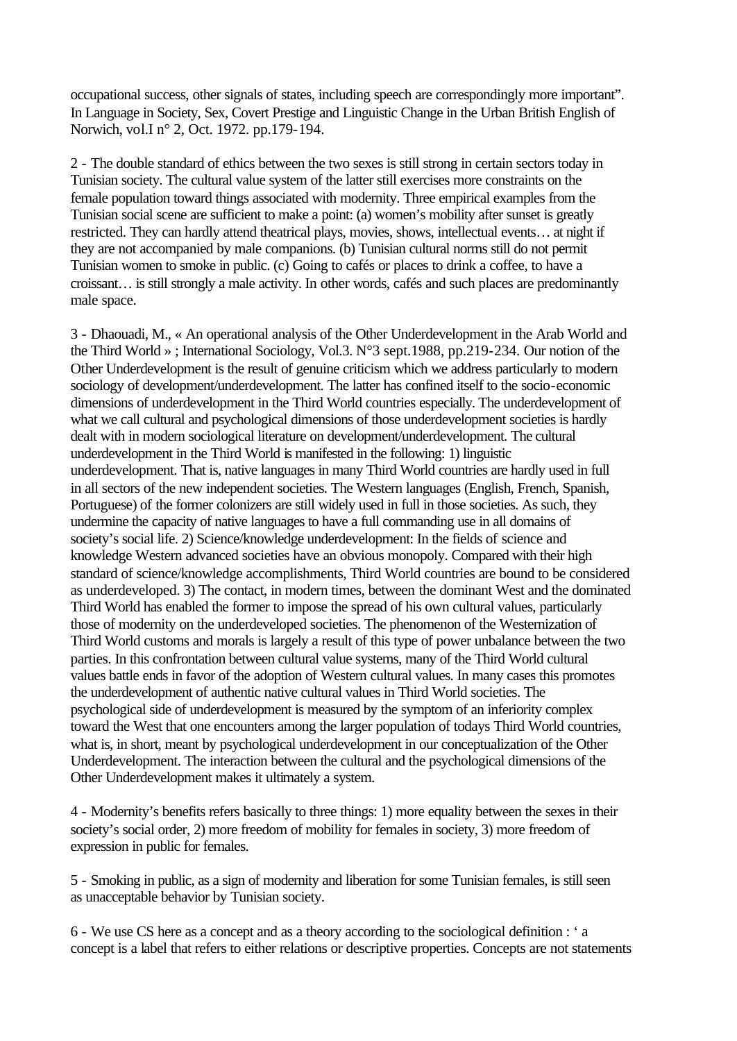occupational success, other signals of states, including speech are correspondingly more important". In Language in Society, Sex, Covert Prestige and Linguistic Change in the Urban British English of Norwich, vol.I n° 2, Oct. 1972. pp.179-194.

2 - The double standard of ethics between the two sexes is still strong in certain sectors today in Tunisian society. The cultural value system of the latter still exercises more constraints on the female population toward things associated with modernity. Three empirical examples from the Tunisian social scene are sufficient to make a point: (a) women's mobility after sunset is greatly restricted. They can hardly attend theatrical plays, movies, shows, intellectual events… at night if they are not accompanied by male companions. (b) Tunisian cultural norms still do not permit Tunisian women to smoke in public. (c) Going to cafés or places to drink a coffee, to have a croissant… is still strongly a male activity. In other words, cafés and such places are predominantly male space.

3 - Dhaouadi, M., « An operational analysis of the Other Underdevelopment in the Arab World and the Third World » ; International Sociology, Vol.3. N°3 sept.1988, pp.219-234. Our notion of the Other Underdevelopment is the result of genuine criticism which we address particularly to modern sociology of development/underdevelopment. The latter has confined itself to the socio-economic dimensions of underdevelopment in the Third World countries especially. The underdevelopment of what we call cultural and psychological dimensions of those underdevelopment societies is hardly dealt with in modern sociological literature on development/underdevelopment. The cultural underdevelopment in the Third World is manifested in the following: 1) linguistic underdevelopment. That is, native languages in many Third World countries are hardly used in full in all sectors of the new independent societies. The Western languages (English, French, Spanish, Portuguese) of the former colonizers are still widely used in full in those societies. As such, they undermine the capacity of native languages to have a full commanding use in all domains of society's social life. 2) Science/knowledge underdevelopment: In the fields of science and knowledge Western advanced societies have an obvious monopoly. Compared with their high standard of science/knowledge accomplishments, Third World countries are bound to be considered as underdeveloped. 3) The contact, in modern times, between the dominant West and the dominated Third World has enabled the former to impose the spread of his own cultural values, particularly those of modernity on the underdeveloped societies. The phenomenon of the Westernization of Third World customs and morals is largely a result of this type of power unbalance between the two parties. In this confrontation between cultural value systems, many of the Third World cultural values battle ends in favor of the adoption of Western cultural values. In many cases this promotes the underdevelopment of authentic native cultural values in Third World societies. The psychological side of underdevelopment is measured by the symptom of an inferiority complex toward the West that one encounters among the larger population of todays Third World countries, what is, in short, meant by psychological underdevelopment in our conceptualization of the Other Underdevelopment. The interaction between the cultural and the psychological dimensions of the Other Underdevelopment makes it ultimately a system.

4 - Modernity's benefits refers basically to three things: 1) more equality between the sexes in their society's social order, 2) more freedom of mobility for females in society, 3) more freedom of expression in public for females.

5 - Smoking in public, as a sign of modernity and liberation for some Tunisian females, is still seen as unacceptable behavior by Tunisian society.

6 - We use CS here as a concept and as a theory according to the sociological definition : ' a concept is a label that refers to either relations or descriptive properties. Concepts are not statements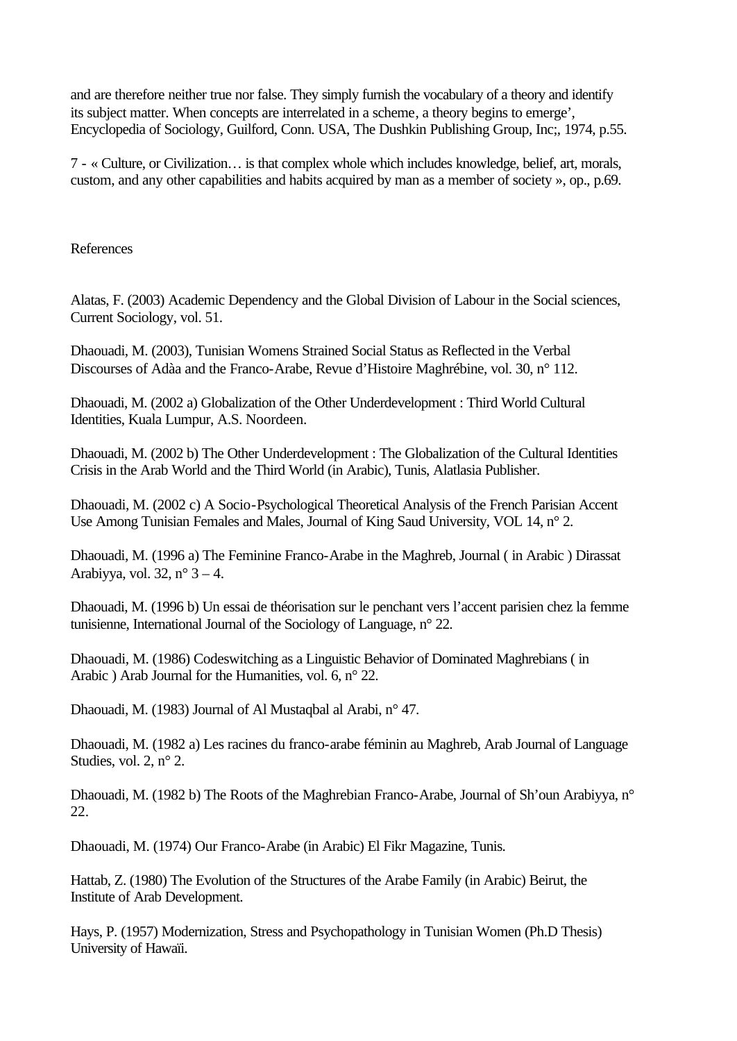and are therefore neither true nor false. They simply furnish the vocabulary of a theory and identify its subject matter. When concepts are interrelated in a scheme, a theory begins to emerge', Encyclopedia of Sociology, Guilford, Conn. USA, The Dushkin Publishing Group, Inc;, 1974, p.55.

7 - « Culture, or Civilization… is that complex whole which includes knowledge, belief, art, morals, custom, and any other capabilities and habits acquired by man as a member of society », op., p.69.

#### References

Alatas, F. (2003) Academic Dependency and the Global Division of Labour in the Social sciences, Current Sociology, vol. 51.

Dhaouadi, M. (2003), Tunisian Womens Strained Social Status as Reflected in the Verbal Discourses of Adàa and the Franco-Arabe, Revue d'Histoire Maghrébine, vol. 30, n° 112.

Dhaouadi, M. (2002 a) Globalization of the Other Underdevelopment : Third World Cultural Identities, Kuala Lumpur, A.S. Noordeen.

Dhaouadi, M. (2002 b) The Other Underdevelopment : The Globalization of the Cultural Identities Crisis in the Arab World and the Third World (in Arabic), Tunis, Alatlasia Publisher.

Dhaouadi, M. (2002 c) A Socio-Psychological Theoretical Analysis of the French Parisian Accent Use Among Tunisian Females and Males, Journal of King Saud University, VOL 14, n° 2.

Dhaouadi, M. (1996 a) The Feminine Franco-Arabe in the Maghreb, Journal ( in Arabic ) Dirassat Arabiyya, vol. 32,  $n^{\circ}$  3 – 4.

Dhaouadi, M. (1996 b) Un essai de théorisation sur le penchant vers l'accent parisien chez la femme tunisienne, International Journal of the Sociology of Language, n° 22.

Dhaouadi, M. (1986) Codeswitching as a Linguistic Behavior of Dominated Maghrebians ( in Arabic ) Arab Journal for the Humanities, vol. 6, n° 22.

Dhaouadi, M. (1983) Journal of Al Mustaqbal al Arabi, n° 47.

Dhaouadi, M. (1982 a) Les racines du franco-arabe féminin au Maghreb, Arab Journal of Language Studies, vol. 2, n° 2.

Dhaouadi, M. (1982 b) The Roots of the Maghrebian Franco-Arabe, Journal of Sh'oun Arabiyya, n° 22.

Dhaouadi, M. (1974) Our Franco-Arabe (in Arabic) El Fikr Magazine, Tunis.

Hattab, Z. (1980) The Evolution of the Structures of the Arabe Family (in Arabic) Beirut, the Institute of Arab Development.

Hays, P. (1957) Modernization, Stress and Psychopathology in Tunisian Women (Ph.D Thesis) University of Hawaïi.